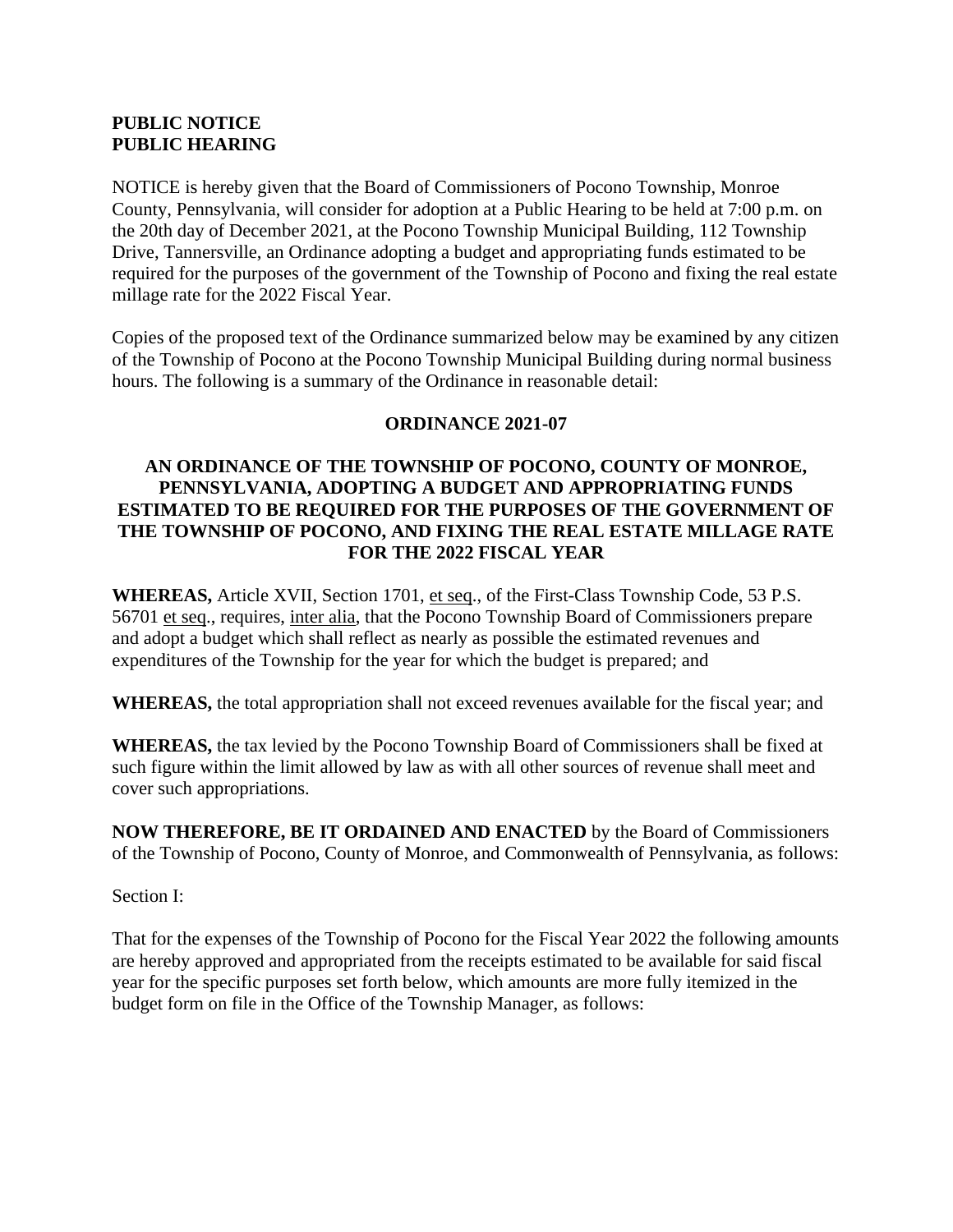## **PUBLIC NOTICE PUBLIC HEARING**

NOTICE is hereby given that the Board of Commissioners of Pocono Township, Monroe County, Pennsylvania, will consider for adoption at a Public Hearing to be held at 7:00 p.m. on the 20th day of December 2021, at the Pocono Township Municipal Building, 112 Township Drive, Tannersville, an Ordinance adopting a budget and appropriating funds estimated to be required for the purposes of the government of the Township of Pocono and fixing the real estate millage rate for the 2022 Fiscal Year.

Copies of the proposed text of the Ordinance summarized below may be examined by any citizen of the Township of Pocono at the Pocono Township Municipal Building during normal business hours. The following is a summary of the Ordinance in reasonable detail:

# **ORDINANCE 2021-07**

### **AN ORDINANCE OF THE TOWNSHIP OF POCONO, COUNTY OF MONROE, PENNSYLVANIA, ADOPTING A BUDGET AND APPROPRIATING FUNDS ESTIMATED TO BE REQUIRED FOR THE PURPOSES OF THE GOVERNMENT OF THE TOWNSHIP OF POCONO, AND FIXING THE REAL ESTATE MILLAGE RATE FOR THE 2022 FISCAL YEAR**

**WHEREAS,** Article XVII, Section 1701, et seq., of the First-Class Township Code, 53 P.S. 56701 et seq., requires, inter alia, that the Pocono Township Board of Commissioners prepare and adopt a budget which shall reflect as nearly as possible the estimated revenues and expenditures of the Township for the year for which the budget is prepared; and

**WHEREAS,** the total appropriation shall not exceed revenues available for the fiscal year; and

**WHEREAS,** the tax levied by the Pocono Township Board of Commissioners shall be fixed at such figure within the limit allowed by law as with all other sources of revenue shall meet and cover such appropriations.

**NOW THEREFORE, BE IT ORDAINED AND ENACTED** by the Board of Commissioners of the Township of Pocono, County of Monroe, and Commonwealth of Pennsylvania, as follows:

Section I:

That for the expenses of the Township of Pocono for the Fiscal Year 2022 the following amounts are hereby approved and appropriated from the receipts estimated to be available for said fiscal year for the specific purposes set forth below, which amounts are more fully itemized in the budget form on file in the Office of the Township Manager, as follows: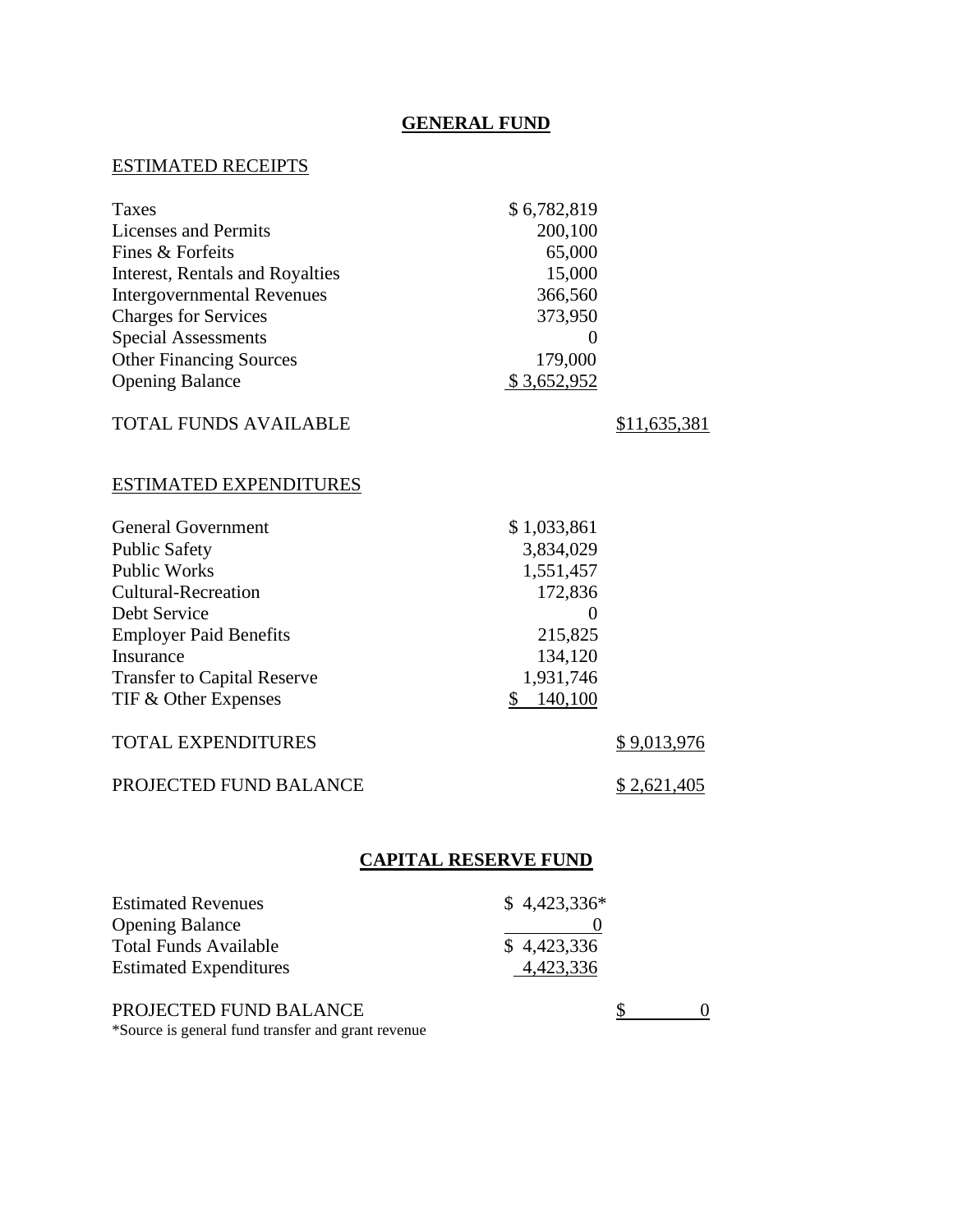# **GENERAL FUND**

# ESTIMATED RECEIPTS

| Taxes                              | \$6,782,819                 |                        |
|------------------------------------|-----------------------------|------------------------|
| <b>Licenses and Permits</b>        | 200,100                     |                        |
| Fines & Forfeits                   | 65,000                      |                        |
| Interest, Rentals and Royalties    | 15,000                      |                        |
| <b>Intergovernmental Revenues</b>  | 366,560                     |                        |
| <b>Charges for Services</b>        | 373,950                     |                        |
| <b>Special Assessments</b>         | 0                           |                        |
| <b>Other Financing Sources</b>     | 179,000                     |                        |
| <b>Opening Balance</b>             | \$3,652,952                 |                        |
| TOTAL FUNDS AVAILABLE              |                             | \$11,635,381           |
| <b>ESTIMATED EXPENDITURES</b>      |                             |                        |
| <b>General Government</b>          | \$1,033,861                 |                        |
| <b>Public Safety</b>               | 3,834,029                   |                        |
| <b>Public Works</b>                | 1,551,457                   |                        |
| <b>Cultural-Recreation</b>         | 172,836                     |                        |
| Debt Service                       | 0                           |                        |
| <b>Employer Paid Benefits</b>      | 215,825                     |                        |
| Insurance                          | 134,120                     |                        |
| <b>Transfer to Capital Reserve</b> | 1,931,746                   |                        |
| TIF & Other Expenses               | \$<br>140,100               |                        |
| <b>TOTAL EXPENDITURES</b>          |                             | <u>\$9,013,976</u>     |
| PROJECTED FUND BALANCE             |                             | <u>\$2,621,405</u>     |
|                                    | <b>CAPITAL RESERVE FUND</b> |                        |
|                                    |                             |                        |
| <b>Estimated Revenues</b>          | \$4,423,336*                |                        |
| <b>Opening Balance</b>             | $\theta$                    |                        |
| <b>Total Funds Available</b>       | \$4,423,336                 |                        |
| <b>Estimated Expenditures</b>      | 4,423,336                   |                        |
| PROJECTED FUND BALANCE             |                             | \$<br>$\boldsymbol{0}$ |

\*Source is general fund transfer and grant revenue